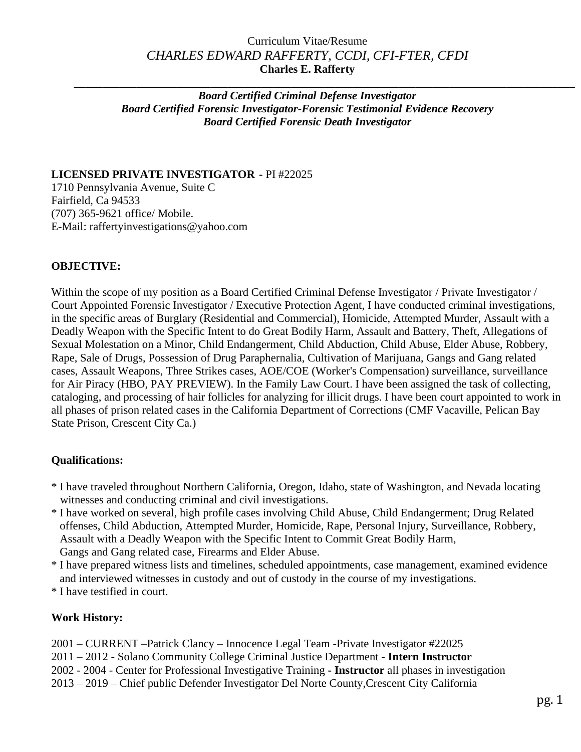## Curriculum Vitae/Resume *CHARLES EDWARD RAFFERTY, CCDI, CFI-FTER, CFDI* **Charles E. Rafferty**

**\_\_\_\_\_\_\_\_\_\_\_\_\_\_\_\_\_\_\_\_\_\_\_\_\_\_\_\_\_\_\_\_\_\_\_\_\_\_\_\_\_\_\_\_\_\_\_\_\_\_\_\_\_\_\_\_\_\_\_\_\_\_\_\_\_\_\_\_\_\_\_\_\_\_\_\_\_\_\_\_\_\_\_\_\_\_\_\_**

#### *Board Certified Criminal Defense Investigator Board Certified Forensic Investigator-Forensic Testimonial Evidence Recovery Board Certified Forensic Death Investigator*

#### **LICENSED PRIVATE INVESTIGATOR -** PI #22025

1710 Pennsylvania Avenue, Suite C Fairfield, Ca 94533 (707) 365-9621 office/ Mobile. E-Mail: raffertyinvestigations@yahoo.com

## **OBJECTIVE:**

Within the scope of my position as a Board Certified Criminal Defense Investigator / Private Investigator / Court Appointed Forensic Investigator / Executive Protection Agent, I have conducted criminal investigations, in the specific areas of Burglary (Residential and Commercial), Homicide, Attempted Murder, Assault with a Deadly Weapon with the Specific Intent to do Great Bodily Harm, Assault and Battery, Theft, Allegations of Sexual Molestation on a Minor, Child Endangerment, Child Abduction, Child Abuse, Elder Abuse, Robbery, Rape, Sale of Drugs, Possession of Drug Paraphernalia, Cultivation of Marijuana, Gangs and Gang related cases, Assault Weapons, Three Strikes cases, AOE/COE (Worker's Compensation) surveillance, surveillance for Air Piracy (HBO, PAY PREVIEW). In the Family Law Court. I have been assigned the task of collecting, cataloging, and processing of hair follicles for analyzing for illicit drugs. I have been court appointed to work in all phases of prison related cases in the California Department of Corrections (CMF Vacaville, Pelican Bay State Prison, Crescent City Ca.)

### **Qualifications:**

- \* I have traveled throughout Northern California, Oregon, Idaho, state of Washington, and Nevada locating witnesses and conducting criminal and civil investigations.
- \* I have worked on several, high profile cases involving Child Abuse, Child Endangerment; Drug Related offenses, Child Abduction, Attempted Murder, Homicide, Rape, Personal Injury, Surveillance, Robbery, Assault with a Deadly Weapon with the Specific Intent to Commit Great Bodily Harm,
- Gangs and Gang related case, Firearms and Elder Abuse.
- \* I have prepared witness lists and timelines, scheduled appointments, case management, examined evidence and interviewed witnesses in custody and out of custody in the course of my investigations.
- \* I have testified in court.

### **Work History:**

- 2001 CURRENT –Patrick Clancy Innocence Legal Team -Private Investigator #22025
- 2011 2012 Solano Community College Criminal Justice Department **Intern Instructor**
- 2002 2004 Center for Professional Investigative Training **- Instructor** all phases in investigation
- 2013 2019 Chief public Defender Investigator Del Norte County,Crescent City California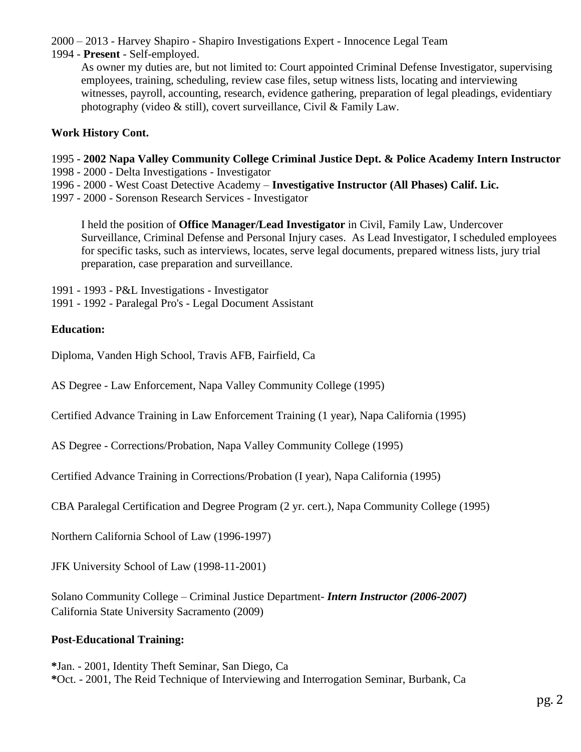2000 – 2013 - Harvey Shapiro - Shapiro Investigations Expert - Innocence Legal Team

1994 - **Present** - Self-employed.

As owner my duties are, but not limited to: Court appointed Criminal Defense Investigator, supervising employees, training, scheduling, review case files, setup witness lists, locating and interviewing witnesses, payroll, accounting, research, evidence gathering, preparation of legal pleadings, evidentiary photography (video & still), covert surveillance, Civil & Family Law.

# **Work History Cont.**

- 1995 **2002 Napa Valley Community College Criminal Justice Dept. & Police Academy Intern Instructor**
- 1998 2000 Delta Investigations Investigator
- 1996 2000 West Coast Detective Academy **Investigative Instructor (All Phases) Calif. Lic.**
- 1997 2000 Sorenson Research Services Investigator

I held the position of **Office Manager/Lead Investigator** in Civil, Family Law, Undercover Surveillance, Criminal Defense and Personal Injury cases. As Lead Investigator, I scheduled employees for specific tasks, such as interviews, locates, serve legal documents, prepared witness lists, jury trial preparation, case preparation and surveillance.

- 1991 1993 P&L Investigations Investigator
- 1991 1992 Paralegal Pro's Legal Document Assistant

## **Education:**

Diploma, Vanden High School, Travis AFB, Fairfield, Ca

AS Degree - Law Enforcement, Napa Valley Community College (1995)

Certified Advance Training in Law Enforcement Training (1 year), Napa California (1995)

AS Degree - Corrections/Probation, Napa Valley Community College (1995)

Certified Advance Training in Corrections/Probation (I year), Napa California (1995)

CBA Paralegal Certification and Degree Program (2 yr. cert.), Napa Community College (1995)

Northern California School of Law (1996-1997)

JFK University School of Law (1998-11-2001)

Solano Community College – Criminal Justice Department- *Intern Instructor (2006-2007)* California State University Sacramento (2009)

# **Post-Educational Training:**

**\***Jan. - 2001, Identity Theft Seminar, San Diego, Ca **\***Oct. - 2001, The Reid Technique of Interviewing and Interrogation Seminar, Burbank, Ca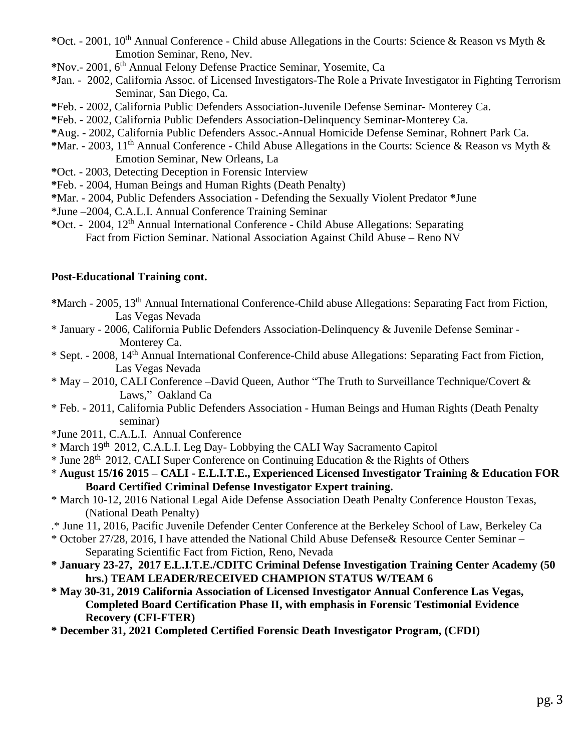- **\***Oct. 2001, 10th Annual Conference Child abuse Allegations in the Courts: Science & Reason vs Myth & Emotion Seminar, Reno, Nev.
- **\***Nov.- 2001, 6 th Annual Felony Defense Practice Seminar, Yosemite, Ca
- **\***Jan. 2002, California Assoc. of Licensed Investigators-The Role a Private Investigator in Fighting Terrorism Seminar, San Diego, Ca.
- **\***Feb. 2002, California Public Defenders Association-Juvenile Defense Seminar- Monterey Ca.
- **\***Feb. 2002, California Public Defenders Association-Delinquency Seminar-Monterey Ca.
- **\***Aug. 2002, California Public Defenders Assoc.-Annual Homicide Defense Seminar, Rohnert Park Ca.
- **\***Mar. 2003, 11th Annual Conference Child Abuse Allegations in the Courts: Science & Reason vs Myth & Emotion Seminar, New Orleans, La
- **\***Oct. 2003, Detecting Deception in Forensic Interview
- **\***Feb. 2004, Human Beings and Human Rights (Death Penalty)
- **\***Mar. 2004, Public Defenders Association Defending the Sexually Violent Predator **\***June
- \*June –2004, C.A.L.I. Annual Conference Training Seminar
- **\***Oct. 2004, 12th Annual International Conference Child Abuse Allegations: Separating Fact from Fiction Seminar. National Association Against Child Abuse – Reno NV

### **Post-Educational Training cont.**

- **\***March 2005, 13th Annual International Conference-Child abuse Allegations: Separating Fact from Fiction, Las Vegas Nevada
- \* January 2006, California Public Defenders Association-Delinquency & Juvenile Defense Seminar Monterey Ca.
- \* Sept. 2008, 14th Annual International Conference-Child abuse Allegations: Separating Fact from Fiction, Las Vegas Nevada
- $*$  May 2010, CALI Conference –David Queen, Author "The Truth to Surveillance Technique/Covert  $&$ Laws," Oakland Ca
- \* Feb. 2011, California Public Defenders Association Human Beings and Human Rights (Death Penalty seminar)
- \*June 2011, C.A.L.I. Annual Conference
- \* March 19th 2012, C.A.L.I. Leg Day- Lobbying the CALI Way Sacramento Capitol
- $*$  June 28<sup>th</sup> 2012, CALI Super Conference on Continuing Education & the Rights of Others
- \* **August 15/16 2015 – CALI - E.L.I.T.E., Experienced Licensed Investigator Training & Education FOR Board Certified Criminal Defense Investigator Expert training.**
- \* March 10-12, 2016 National Legal Aide Defense Association Death Penalty Conference Houston Texas, (National Death Penalty)
- .\* June 11, 2016, Pacific Juvenile Defender Center Conference at the Berkeley School of Law, Berkeley Ca
- \* October 27/28, 2016, I have attended the National Child Abuse Defense& Resource Center Seminar Separating Scientific Fact from Fiction, Reno, Nevada
- **\* January 23-27, 2017 E.L.I.T.E./CDITC Criminal Defense Investigation Training Center Academy (50 hrs.) TEAM LEADER/RECEIVED CHAMPION STATUS W/TEAM 6**
- **\* May 30-31, 2019 California Association of Licensed Investigator Annual Conference Las Vegas, Completed Board Certification Phase II, with emphasis in Forensic Testimonial Evidence Recovery (CFI-FTER)**

**\* December 31, 2021 Completed Certified Forensic Death Investigator Program, (CFDI)**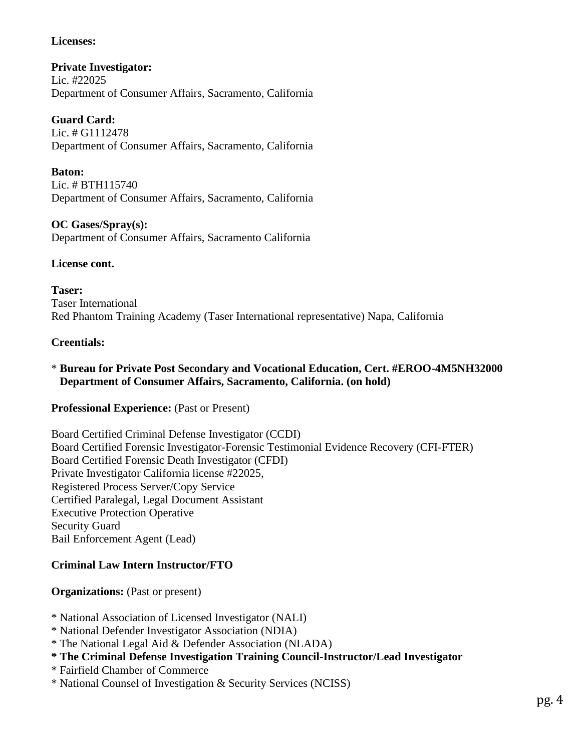# **Licenses:**

**Private Investigator:** Lic. #22025 Department of Consumer Affairs, Sacramento, California

**Guard Card:** Lic. # G1112478 Department of Consumer Affairs, Sacramento, California

**Baton:** Lic. # BTH115740 Department of Consumer Affairs, Sacramento, California

**OC Gases/Spray(s):** Department of Consumer Affairs, Sacramento California

## **License cont.**

**Taser:** Taser International Red Phantom Training Academy (Taser International representative) Napa, California

## **Creentials:**

## \* **Bureau for Private Post Secondary and Vocational Education, Cert. #EROO-4M5NH32000 Department of Consumer Affairs, Sacramento, California. (on hold)**

### **Professional Experience:** (Past or Present)

Board Certified Criminal Defense Investigator (CCDI) Board Certified Forensic Investigator-Forensic Testimonial Evidence Recovery (CFI-FTER) Board Certified Forensic Death Investigator (CFDI) Private Investigator California license #22025, Registered Process Server/Copy Service Certified Paralegal, Legal Document Assistant Executive Protection Operative Security Guard Bail Enforcement Agent (Lead)

# **Criminal Law Intern Instructor/FTO**

**Organizations:** (Past or present)

- \* National Association of Licensed Investigator (NALI)
- \* National Defender Investigator Association (NDIA)
- \* The National Legal Aid & Defender Association (NLADA)
- **\* The Criminal Defense Investigation Training Council-Instructor/Lead Investigator**
- \* Fairfield Chamber of Commerce
- \* National Counsel of Investigation & Security Services (NCISS)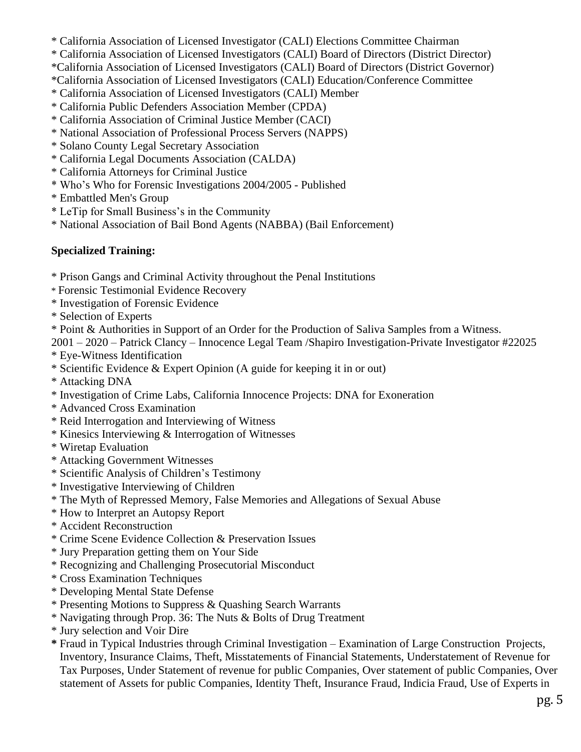- \* California Association of Licensed Investigator (CALI) Elections Committee Chairman
- \* California Association of Licensed Investigators (CALI) Board of Directors (District Director)
- \*California Association of Licensed Investigators (CALI) Board of Directors (District Governor)
- \*California Association of Licensed Investigators (CALI) Education/Conference Committee
- \* California Association of Licensed Investigators (CALI) Member
- \* California Public Defenders Association Member (CPDA)
- \* California Association of Criminal Justice Member (CACI)
- \* National Association of Professional Process Servers (NAPPS)
- \* Solano County Legal Secretary Association
- \* California Legal Documents Association (CALDA)
- \* California Attorneys for Criminal Justice
- \* Who's Who for Forensic Investigations 2004/2005 Published
- \* Embattled Men's Group
- \* LeTip for Small Business's in the Community
- \* National Association of Bail Bond Agents (NABBA) (Bail Enforcement)

# **Specialized Training:**

- \* Prison Gangs and Criminal Activity throughout the Penal Institutions
- \* Forensic Testimonial Evidence Recovery
- \* Investigation of Forensic Evidence
- \* Selection of Experts
- \* Point & Authorities in Support of an Order for the Production of Saliva Samples from a Witness.

2001 – 2020 – Patrick Clancy – Innocence Legal Team /Shapiro Investigation-Private Investigator #22025

\* Eye-Witness Identification

- \* Scientific Evidence & Expert Opinion (A guide for keeping it in or out)
- \* Attacking DNA
- \* Investigation of Crime Labs, California Innocence Projects: DNA for Exoneration
- \* Advanced Cross Examination
- \* Reid Interrogation and Interviewing of Witness
- \* Kinesics Interviewing & Interrogation of Witnesses
- \* Wiretap Evaluation
- \* Attacking Government Witnesses
- \* Scientific Analysis of Children's Testimony
- \* Investigative Interviewing of Children
- \* The Myth of Repressed Memory, False Memories and Allegations of Sexual Abuse
- \* How to Interpret an Autopsy Report
- \* Accident Reconstruction
- \* Crime Scene Evidence Collection & Preservation Issues
- \* Jury Preparation getting them on Your Side
- \* Recognizing and Challenging Prosecutorial Misconduct
- \* Cross Examination Techniques
- \* Developing Mental State Defense
- \* Presenting Motions to Suppress & Quashing Search Warrants
- \* Navigating through Prop. 36: The Nuts & Bolts of Drug Treatment
- \* Jury selection and Voir Dire
- **\*** Fraud in Typical Industries through Criminal Investigation Examination of Large Construction Projects, Inventory, Insurance Claims, Theft, Misstatements of Financial Statements, Understatement of Revenue for Tax Purposes, Under Statement of revenue for public Companies, Over statement of public Companies, Over statement of Assets for public Companies, Identity Theft, Insurance Fraud, Indicia Fraud, Use of Experts in